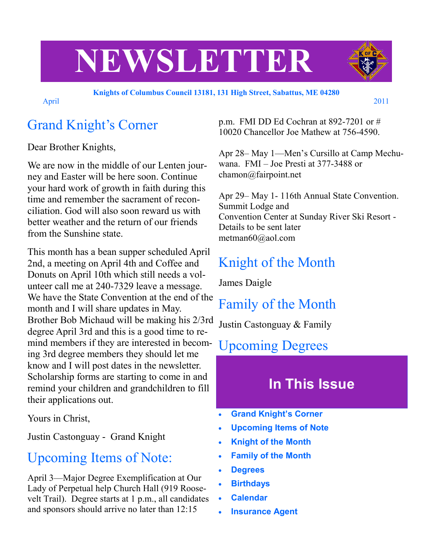# **NEWSLETTER**

April 2011

#### **Knights of Columbus Council 13181, 131 High Street, Sabattus, ME 04280**

# Grand Knight's Corner

Dear Brother Knights,

We are now in the middle of our Lenten journey and Easter will be here soon. Continue your hard work of growth in faith during this time and remember the sacrament of reconciliation. God will also soon reward us with better weather and the return of our friends from the Sunshine state.

This month has a bean supper scheduled April 2nd, a meeting on April 4th and Coffee and Donuts on April 10th which still needs a volunteer call me at 240-7329 leave a message. We have the State Convention at the end of the month and I will share updates in May. Brother Bob Michaud will be making his 2/3rd degree April 3rd and this is a good time to remind members if they are interested in becoming 3rd degree members they should let me know and I will post dates in the newsletter. Scholarship forms are starting to come in and remind your children and grandchildren to fill their applications out.

Yours in Christ,

Justin Castonguay - Grand Knight

#### Upcoming Items of Note:

April 3—Major Degree Exemplification at Our Lady of Perpetual help Church Hall (919 Roosevelt Trail). Degree starts at 1 p.m., all candidates and sponsors should arrive no later than 12:15

p.m. FMI DD Ed Cochran at 892-7201 or # 10020 Chancellor Joe Mathew at 756-4590.

Apr 28– May 1—Men's Cursillo at Camp Mechuwana. FMI – Joe Presti at 377-3488 or chamon@fairpoint.net

Apr 29– May 1- 116th Annual State Convention. Summit Lodge and Convention Center at Sunday River Ski Resort - Details to be sent later metman60@aol.com

# Knight of the Month

James Daigle

## Family of the Month

Justin Castonguay & Family

#### Upcoming Degrees

# **In This Issue**

- **Grand Knight's Corner**
- **Upcoming Items of Note**
- **Knight of the Month**
- **Family of the Month**
- **Degrees**
- **Birthdays**
- **Calendar**
- **Insurance Agent**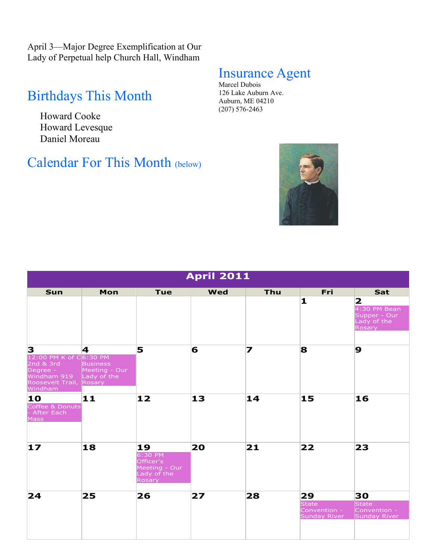April 3—Major Degree Exemplification at Our Lady of Perpetual help Church Hall, Windham

## Birthdays This Month

Howard Cooke Howard Levesque Daniel Moreau

#### Calendar For This Month (below)

#### Insurance Agent

Marcel Dubois 126 Lake Auburn Ave. Auburn, ME 04210 (207) 576-2463



| <b>April 2011</b>                                                                                                     |                                       |                                                                      |            |     |                                             |                                                                                     |  |
|-----------------------------------------------------------------------------------------------------------------------|---------------------------------------|----------------------------------------------------------------------|------------|-----|---------------------------------------------|-------------------------------------------------------------------------------------|--|
| <b>Sun</b>                                                                                                            | Mon                                   | <b>Tue</b>                                                           | <b>Wed</b> | Thu | Fri<br>1                                    | Sat<br>$\mathbf{2}$<br>4:30 PM Bean<br>Supper - Our<br>Lady of the<br><b>Rosary</b> |  |
| 3<br>12:00 PM K of C6:30 PM<br>2nd & 3rd<br>Degree -<br>Windham 919 Lady of the<br>Roosevelt Trail, Rosary<br>Windham | 4<br><b>Business</b><br>Meeting - Our | 5                                                                    | 6          | 7   | 8                                           | 9                                                                                   |  |
| 10<br>Coffee & Donuts<br>- After Each<br>Mass                                                                         | 11                                    | 12                                                                   | 13         | 14  | 15                                          | 16                                                                                  |  |
| $\bf{17}$                                                                                                             | 18                                    | 19<br>6:30 PM<br>Officer's<br>Meeting - Our<br>Lady of the<br>Rosary | 20         | 21  | 22                                          | 23                                                                                  |  |
| 24                                                                                                                    | 25                                    | 26                                                                   | 27         | 28  | 29<br>State<br>Convention -<br>Sunday River | 30<br>State<br>Convention -<br>Sunday River                                         |  |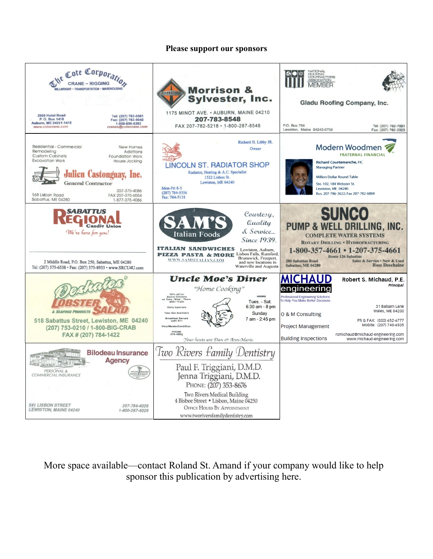#### **Please support our sponsors**



More space available—contact Roland St. Amand if your company would like to help sponsor this publication by advertising here.